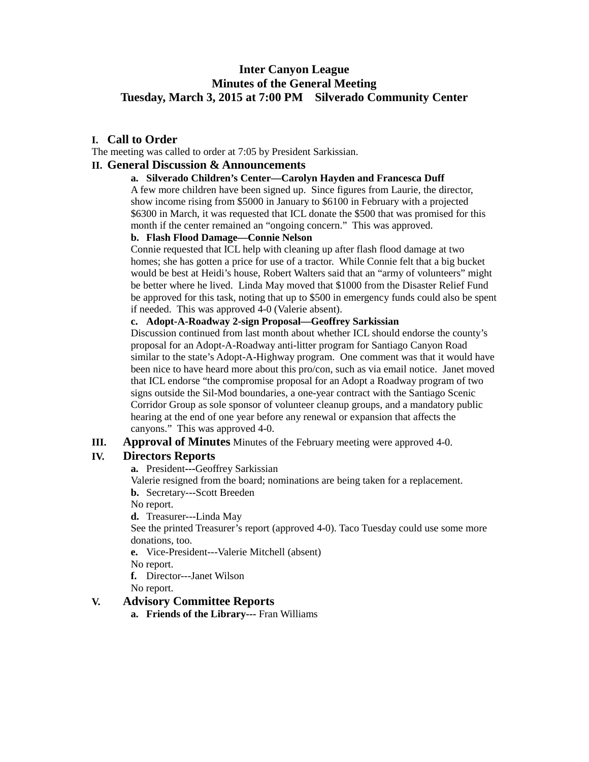# **Inter Canyon League Minutes of the General Meeting Tuesday, March 3, 2015 at 7:00 PM Silverado Community Center**

# **I. Call to Order**

The meeting was called to order at 7:05 by President Sarkissian.

### **II. General Discussion & Announcements**

#### **a. Silverado Children's Center—Carolyn Hayden and Francesca Duff**

A few more children have been signed up. Since figures from Laurie, the director, show income rising from \$5000 in January to \$6100 in February with a projected \$6300 in March, it was requested that ICL donate the \$500 that was promised for this month if the center remained an "ongoing concern." This was approved.

# **b. Flash Flood Damage—Connie Nelson**

Connie requested that ICL help with cleaning up after flash flood damage at two homes; she has gotten a price for use of a tractor. While Connie felt that a big bucket would be best at Heidi's house, Robert Walters said that an "army of volunteers" might be better where he lived. Linda May moved that \$1000 from the Disaster Relief Fund be approved for this task, noting that up to \$500 in emergency funds could also be spent if needed. This was approved 4-0 (Valerie absent).

#### **c. Adopt-A-Roadway 2-sign Proposal—Geoffrey Sarkissian**

Discussion continued from last month about whether ICL should endorse the county's proposal for an Adopt-A-Roadway anti-litter program for Santiago Canyon Road similar to the state's Adopt-A-Highway program. One comment was that it would have been nice to have heard more about this pro/con, such as via email notice. Janet moved that ICL endorse "the compromise proposal for an Adopt a Roadway program of two signs outside the Sil-Mod boundaries, a one-year contract with the Santiago Scenic Corridor Group as sole sponsor of volunteer cleanup groups, and a mandatory public hearing at the end of one year before any renewal or expansion that affects the canyons." This was approved 4-0.

### **III. Approval of Minutes** Minutes of the February meeting were approved 4-0.

# **IV. Directors Reports**

**a.** President**---**Geoffrey Sarkissian

Valerie resigned from the board; nominations are being taken for a replacement. **b.** Secretary---Scott Breeden

No report.

**d.** Treasurer---Linda May

See the printed Treasurer's report (approved 4-0). Taco Tuesday could use some more donations, too.

**e.** Vice-President---Valerie Mitchell (absent)

No report.

**f.** Director---Janet Wilson

No report.

### **V. Advisory Committee Reports**

**a. Friends of the Library---** Fran Williams